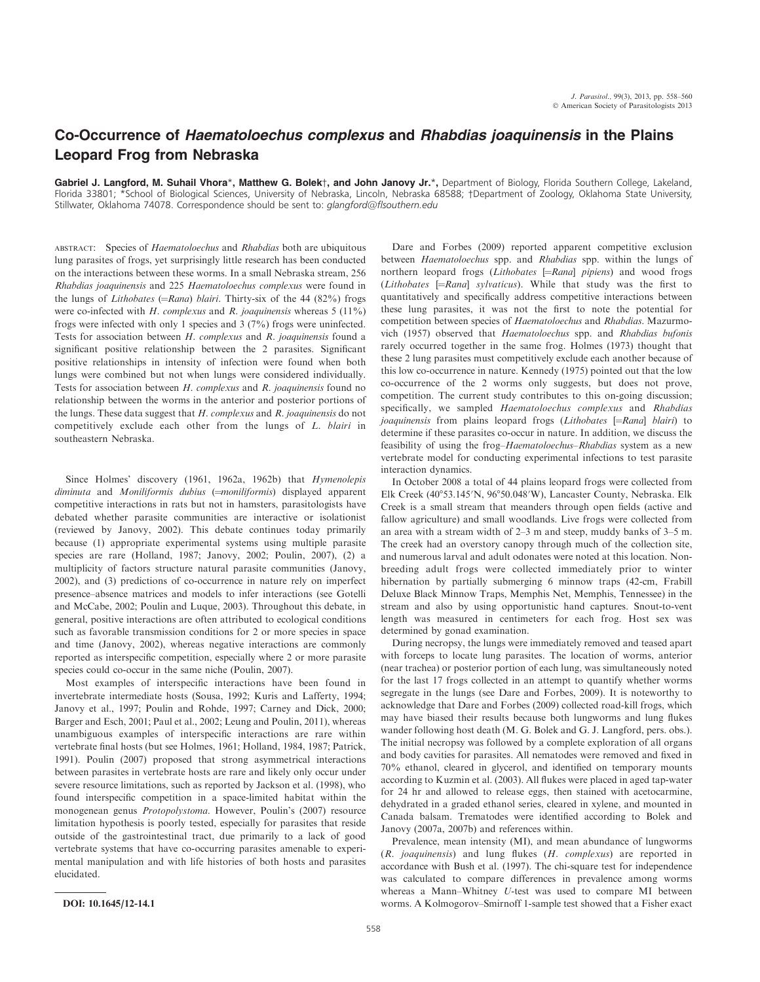## Co-Occurrence of Haematoloechus complexus and Rhabdias joaquinensis in the Plains Leopard Frog from Nebraska

Gabriel J. Langford, M. Suhail Vhora\*, Matthew G. Bolek†, and John Janovy Jr.\*, Department of Biology, Florida Southern College, Lakeland, Florida 33801; \*School of Biological Sciences, University of Nebraska, Lincoln, Nebraska 68588; †Department of Zoology, Oklahoma State University, Stillwater, Oklahoma 74078. Correspondence should be sent to: glangford@flsouthern.edu

ABSTRACT: Species of Haematoloechus and Rhabdias both are ubiquitous lung parasites of frogs, yet surprisingly little research has been conducted on the interactions between these worms. In a small Nebraska stream, 256 Rhabdias joaquinensis and 225 Haematoloechus complexus were found in the lungs of *Lithobates* ( $=Rana$ ) *blairi*. Thirty-six of the 44 (82%) frogs were co-infected with H. complexus and R. joaquinensis whereas  $5(11\%)$ frogs were infected with only 1 species and 3 (7%) frogs were uninfected. Tests for association between H. complexus and R. joaquinensis found a significant positive relationship between the 2 parasites. Significant positive relationships in intensity of infection were found when both lungs were combined but not when lungs were considered individually. Tests for association between H. complexus and R. joaquinensis found no relationship between the worms in the anterior and posterior portions of the lungs. These data suggest that  $H$ . *complexus* and  $R$ . *joaquinensis* do not competitively exclude each other from the lungs of L. blairi in southeastern Nebraska.

Since Holmes' discovery (1961, 1962a, 1962b) that Hymenolepis diminuta and Moniliformis dubius (=moniliformis) displayed apparent competitive interactions in rats but not in hamsters, parasitologists have debated whether parasite communities are interactive or isolationist (reviewed by Janovy, 2002). This debate continues today primarily because (1) appropriate experimental systems using multiple parasite species are rare (Holland, 1987; Janovy, 2002; Poulin, 2007), (2) a multiplicity of factors structure natural parasite communities (Janovy, 2002), and (3) predictions of co-occurrence in nature rely on imperfect presence–absence matrices and models to infer interactions (see Gotelli and McCabe, 2002; Poulin and Luque, 2003). Throughout this debate, in general, positive interactions are often attributed to ecological conditions such as favorable transmission conditions for 2 or more species in space and time (Janovy, 2002), whereas negative interactions are commonly reported as interspecific competition, especially where 2 or more parasite species could co-occur in the same niche (Poulin, 2007).

Most examples of interspecific interactions have been found in invertebrate intermediate hosts (Sousa, 1992; Kuris and Lafferty, 1994; Janovy et al., 1997; Poulin and Rohde, 1997; Carney and Dick, 2000; Barger and Esch, 2001; Paul et al., 2002; Leung and Poulin, 2011), whereas unambiguous examples of interspecific interactions are rare within vertebrate final hosts (but see Holmes, 1961; Holland, 1984, 1987; Patrick, 1991). Poulin (2007) proposed that strong asymmetrical interactions between parasites in vertebrate hosts are rare and likely only occur under severe resource limitations, such as reported by Jackson et al. (1998), who found interspecific competition in a space-limited habitat within the monogenean genus Protopolystoma. However, Poulin's (2007) resource limitation hypothesis is poorly tested, especially for parasites that reside outside of the gastrointestinal tract, due primarily to a lack of good vertebrate systems that have co-occurring parasites amenable to experimental manipulation and with life histories of both hosts and parasites elucidated.

Dare and Forbes (2009) reported apparent competitive exclusion between Haematoloechus spp. and Rhabdias spp. within the lungs of northern leopard frogs  $(Lithobates$   $[=Rand]$  pipiens) and wood frogs (Lithobates  $[=Rana]$  sylvaticus). While that study was the first to quantitatively and specifically address competitive interactions between these lung parasites, it was not the first to note the potential for competition between species of Haematoloechus and Rhabdias. Mazurmovich (1957) observed that Haematoloechus spp. and Rhabdias bufonis rarely occurred together in the same frog. Holmes (1973) thought that these 2 lung parasites must competitively exclude each another because of this low co-occurrence in nature. Kennedy (1975) pointed out that the low co-occurrence of the 2 worms only suggests, but does not prove, competition. The current study contributes to this on-going discussion; specifically, we sampled Haematoloechus complexus and Rhabdias joaquinensis from plains leopard frogs (Lithobates [=Rana] blairi) to determine if these parasites co-occur in nature. In addition, we discuss the feasibility of using the frog–Haematoloechus–Rhabdias system as a new vertebrate model for conducting experimental infections to test parasite interaction dynamics.

In October 2008 a total of 44 plains leopard frogs were collected from Elk Creek (40°53.145'N, 96°50.048'W), Lancaster County, Nebraska. Elk Creek is a small stream that meanders through open fields (active and fallow agriculture) and small woodlands. Live frogs were collected from an area with a stream width of 2–3 m and steep, muddy banks of 3–5 m. The creek had an overstory canopy through much of the collection site, and numerous larval and adult odonates were noted at this location. Nonbreeding adult frogs were collected immediately prior to winter hibernation by partially submerging 6 minnow traps (42-cm, Frabill Deluxe Black Minnow Traps, Memphis Net, Memphis, Tennessee) in the stream and also by using opportunistic hand captures. Snout-to-vent length was measured in centimeters for each frog. Host sex was determined by gonad examination.

During necropsy, the lungs were immediately removed and teased apart with forceps to locate lung parasites. The location of worms, anterior (near trachea) or posterior portion of each lung, was simultaneously noted for the last 17 frogs collected in an attempt to quantify whether worms segregate in the lungs (see Dare and Forbes, 2009). It is noteworthy to acknowledge that Dare and Forbes (2009) collected road-kill frogs, which may have biased their results because both lungworms and lung flukes wander following host death (M. G. Bolek and G. J. Langford, pers. obs.). The initial necropsy was followed by a complete exploration of all organs and body cavities for parasites. All nematodes were removed and fixed in 70% ethanol, cleared in glycerol, and identified on temporary mounts according to Kuzmin et al. (2003). All flukes were placed in aged tap-water for 24 hr and allowed to release eggs, then stained with acetocarmine, dehydrated in a graded ethanol series, cleared in xylene, and mounted in Canada balsam. Trematodes were identified according to Bolek and Janovy (2007a, 2007b) and references within.

Prevalence, mean intensity (MI), and mean abundance of lungworms (R. joaquinensis) and lung flukes (H. complexus) are reported in accordance with Bush et al. (1997). The chi-square test for independence was calculated to compare differences in prevalence among worms whereas a Mann–Whitney U-test was used to compare MI between DOI: 10.1645/12-14.1 worms. A Kolmogorov–Smirnoff 1-sample test showed that a Fisher exact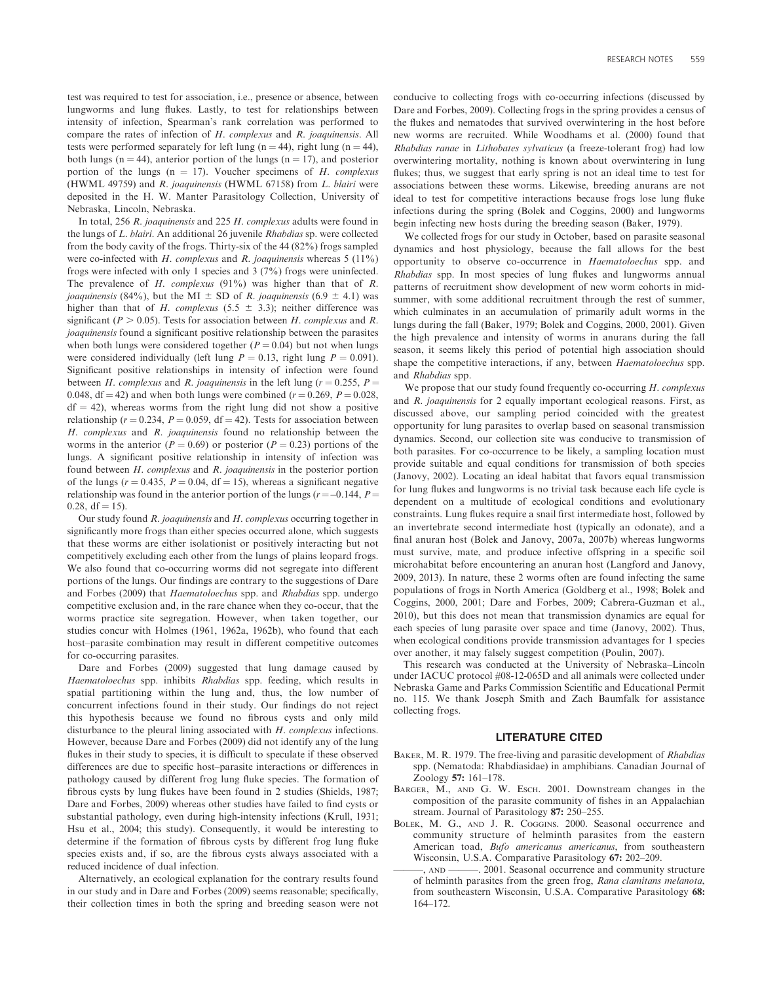test was required to test for association, i.e., presence or absence, between lungworms and lung flukes. Lastly, to test for relationships between intensity of infection, Spearman's rank correlation was performed to compare the rates of infection of H. complexus and R. joaquinensis. All tests were performed separately for left lung (n = 44), right lung (n = 44), both lungs (n = 44), anterior portion of the lungs (n = 17), and posterior portion of the lungs ( $n = 17$ ). Voucher specimens of H. complexus (HWML 49759) and R. joaquinensis (HWML 67158) from L. blairi were deposited in the H. W. Manter Parasitology Collection, University of Nebraska, Lincoln, Nebraska.

In total, 256 R. joaquinensis and 225 H. complexus adults were found in the lungs of L. blairi. An additional 26 juvenile Rhabdias sp. were collected from the body cavity of the frogs. Thirty-six of the 44 (82%) frogs sampled were co-infected with H. complexus and R. joaquinensis whereas  $5(11\%)$ frogs were infected with only 1 species and 3 (7%) frogs were uninfected. The prevalence of  $H$ . complexus (91%) was higher than that of  $R$ . *joaquinensis* (84%), but the MI  $\pm$  SD of R. *joaquinensis* (6.9  $\pm$  4.1) was higher than that of H. complexus (5.5  $\pm$  3.3); neither difference was significant ( $P > 0.05$ ). Tests for association between H. complexus and R. joaquinensis found a significant positive relationship between the parasites when both lungs were considered together ( $P = 0.04$ ) but not when lungs were considered individually (left lung  $P = 0.13$ , right lung  $P = 0.091$ ). Significant positive relationships in intensity of infection were found between H. complexus and R. joaquinensis in the left lung ( $r = 0.255$ ,  $P =$ 0.048, df = 42) and when both lungs were combined ( $r = 0.269$ ,  $P = 0.028$ ,  $df = 42$ ), whereas worms from the right lung did not show a positive relationship ( $r = 0.234$ ,  $P = 0.059$ , df = 42). Tests for association between H. complexus and R. joaquinensis found no relationship between the worms in the anterior ( $P = 0.69$ ) or posterior ( $P = 0.23$ ) portions of the lungs. A significant positive relationship in intensity of infection was found between H. complexus and R. joaquinensis in the posterior portion of the lungs ( $r = 0.435$ ,  $P = 0.04$ , df = 15), whereas a significant negative relationship was found in the anterior portion of the lungs ( $r = -0.144$ ,  $P =$  $0.28, df = 15$ .

Our study found R. joaquinensis and H. complexus occurring together in significantly more frogs than either species occurred alone, which suggests that these worms are either isolationist or positively interacting but not competitively excluding each other from the lungs of plains leopard frogs. We also found that co-occurring worms did not segregate into different portions of the lungs. Our findings are contrary to the suggestions of Dare and Forbes (2009) that Haematoloechus spp. and Rhabdias spp. undergo competitive exclusion and, in the rare chance when they co-occur, that the worms practice site segregation. However, when taken together, our studies concur with Holmes (1961, 1962a, 1962b), who found that each host–parasite combination may result in different competitive outcomes for co-occurring parasites.

Dare and Forbes (2009) suggested that lung damage caused by Haematoloechus spp. inhibits Rhabdias spp. feeding, which results in spatial partitioning within the lung and, thus, the low number of concurrent infections found in their study. Our findings do not reject this hypothesis because we found no fibrous cysts and only mild disturbance to the pleural lining associated with H. complexus infections. However, because Dare and Forbes (2009) did not identify any of the lung flukes in their study to species, it is difficult to speculate if these observed differences are due to specific host–parasite interactions or differences in pathology caused by different frog lung fluke species. The formation of fibrous cysts by lung flukes have been found in 2 studies (Shields, 1987; Dare and Forbes, 2009) whereas other studies have failed to find cysts or substantial pathology, even during high-intensity infections (Krull, 1931; Hsu et al., 2004; this study). Consequently, it would be interesting to determine if the formation of fibrous cysts by different frog lung fluke species exists and, if so, are the fibrous cysts always associated with a reduced incidence of dual infection.

Alternatively, an ecological explanation for the contrary results found in our study and in Dare and Forbes (2009) seems reasonable; specifically, their collection times in both the spring and breeding season were not

conducive to collecting frogs with co-occurring infections (discussed by Dare and Forbes, 2009). Collecting frogs in the spring provides a census of the flukes and nematodes that survived overwintering in the host before new worms are recruited. While Woodhams et al. (2000) found that Rhabdias ranae in Lithobates sylvaticus (a freeze-tolerant frog) had low overwintering mortality, nothing is known about overwintering in lung flukes; thus, we suggest that early spring is not an ideal time to test for associations between these worms. Likewise, breeding anurans are not ideal to test for competitive interactions because frogs lose lung fluke infections during the spring (Bolek and Coggins, 2000) and lungworms begin infecting new hosts during the breeding season (Baker, 1979).

We collected frogs for our study in October, based on parasite seasonal dynamics and host physiology, because the fall allows for the best opportunity to observe co-occurrence in Haematoloechus spp. and Rhabdias spp. In most species of lung flukes and lungworms annual patterns of recruitment show development of new worm cohorts in midsummer, with some additional recruitment through the rest of summer, which culminates in an accumulation of primarily adult worms in the lungs during the fall (Baker, 1979; Bolek and Coggins, 2000, 2001). Given the high prevalence and intensity of worms in anurans during the fall season, it seems likely this period of potential high association should shape the competitive interactions, if any, between Haematoloechus spp. and Rhabdias spp.

We propose that our study found frequently co-occurring  $H$ . complexus and R. joaquinensis for 2 equally important ecological reasons. First, as discussed above, our sampling period coincided with the greatest opportunity for lung parasites to overlap based on seasonal transmission dynamics. Second, our collection site was conducive to transmission of both parasites. For co-occurrence to be likely, a sampling location must provide suitable and equal conditions for transmission of both species (Janovy, 2002). Locating an ideal habitat that favors equal transmission for lung flukes and lungworms is no trivial task because each life cycle is dependent on a multitude of ecological conditions and evolutionary constraints. Lung flukes require a snail first intermediate host, followed by an invertebrate second intermediate host (typically an odonate), and a final anuran host (Bolek and Janovy, 2007a, 2007b) whereas lungworms must survive, mate, and produce infective offspring in a specific soil microhabitat before encountering an anuran host (Langford and Janovy, 2009, 2013). In nature, these 2 worms often are found infecting the same populations of frogs in North America (Goldberg et al., 1998; Bolek and Coggins, 2000, 2001; Dare and Forbes, 2009; Cabrera-Guzman et al., 2010), but this does not mean that transmission dynamics are equal for each species of lung parasite over space and time (Janovy, 2002). Thus, when ecological conditions provide transmission advantages for 1 species over another, it may falsely suggest competition (Poulin, 2007).

This research was conducted at the University of Nebraska–Lincoln under IACUC protocol #08-12-065D and all animals were collected under Nebraska Game and Parks Commission Scientific and Educational Permit no. 115. We thank Joseph Smith and Zach Baumfalk for assistance collecting frogs.

## LITERATURE CITED

- BAKER, M. R. 1979. The free-living and parasitic development of Rhabdias spp. (Nematoda: Rhabdiasidae) in amphibians. Canadian Journal of Zoology 57: 161–178.
- BARGER, M., AND G. W. ESCH. 2001. Downstream changes in the composition of the parasite community of fishes in an Appalachian stream. Journal of Parasitology 87: 250–255.
- BOLEK, M. G., AND J. R. COGGINS. 2000. Seasonal occurrence and community structure of helminth parasites from the eastern American toad, Bufo americanus americanus, from southeastern Wisconsin, U.S.A. Comparative Parasitology 67: 202–209.
	- 2001. Seasonal occurrence and community structure of helminth parasites from the green frog, Rana clamitans melanota, from southeastern Wisconsin, U.S.A. Comparative Parasitology 68: 164–172.